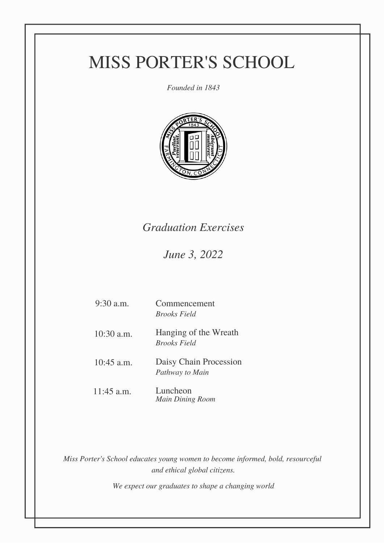# MISS PORTER'S SCHOOL

*Founded in 1843*



### *Graduation Exercises*

*June 3, 2022*

| $9:30$ a.m.  | Commencement<br><b>Brooks Field</b>          |
|--------------|----------------------------------------------|
| $10:30$ a.m. | Hanging of the Wreath<br><b>Brooks Field</b> |
| $10:45$ a.m. | Daisy Chain Procession<br>Pathway to Main    |
| $11:45$ a.m. | Luncheon<br><b>Main Dining Room</b>          |

*Miss Porter's School educates young women to become informed, bold, resourceful and ethical global citizens.*

*We expect our graduates to shape a changing world*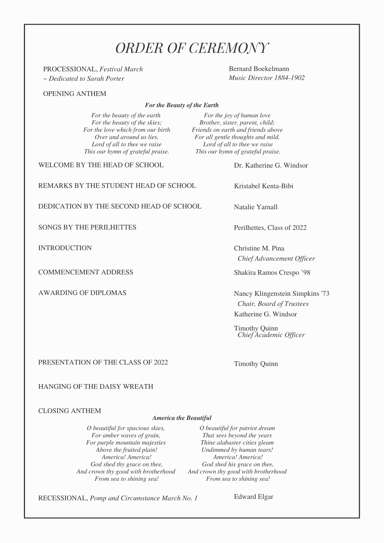### *ORDER OF CEREMONY*

PROCESSIONAL, *Festival March ~ Dedicated to Sarah Porter*

OPENING ANTHEM

*For the Beauty of the Earth*

*For the beauty of the earth For the beauty of the skies; For the love which from our birth Over and around us lies. Lord of all to thee we raise This our hymn of grateful praise.*

*For the joy of human love Brother, sister, parent, child; Friends on earth and friends above For all gentle thoughts and mild. Lord of all to thee we raise This our hymn of grateful praise.*

WELCOME BY THE HEAD OF SCHOOL

REMARKS BY THE STUDENT HEAD OF SCHOOL

DEDICATION BY THE SECOND HEAD OF SCHOOL

SONGS BY THE PERILHETTES

INTRODUCTION

COMMENCEMENT ADDRESS

AWARDING OF DIPLOMAS

Dr. Katherine G. Windsor

Kristabel Kenta-Bibi

Bernard Boekelmann *Music Director 1884-1902*

Natalie Yarnall

Perilhettes, Class of 2022

Christine M. Pina *Chief Advancement Of icer*

Shakira Ramos Crespo '98

Nancy Klingenstein Simpkins '73 *Chair, Board of Trustees* Katherine G. Windsor

Timothy Quinn *Chief Academic Of icer*

PRESENTATION OF THE CLASS OF 2022

Timothy Quinn

#### HANGING OF THE DAISY WREATH

#### CLOSING ANTHEM

#### *America the Beautiful*

*O beautiful for spacious skies, For amber waves of grain, For purple mountain majesties Above the fruited plain! America! America! God shed thy grace on thee, And crown thy good with brotherhood And crown thy good with brotherhood From sea to shining sea!*

*O beautiful for patriot dream That sees beyond the years Thine alabaster cities gleam Undimmed by human tears! America! America! God shed his grace on thee, From sea to shining sea!*

RECESSIONAL, *Pomp and Circumstance March No. 1*

Edward Elgar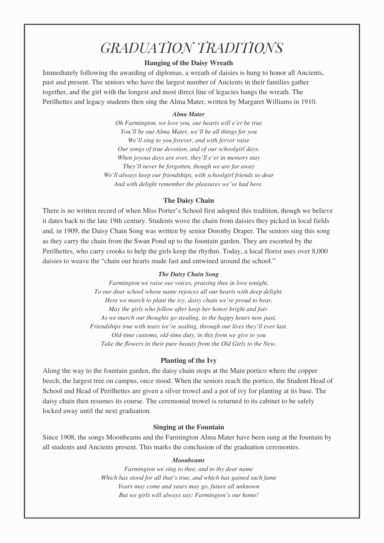## *GRADUATION TRADITIONS*

#### **Hanging of the Daisy Wreath**

Immediately following the awarding of diplomas, a wreath of daisies is hung to honor all Ancients, past and present. The seniors who have the largest number of Ancients in their families gather together, and the girl with the longest and most direct line of legacies hangs the wreath. The Perilhettes and legacy students then sing the Alma Mater, written by Margaret Williams in 1910.

#### *Alma Mater*

*Oh Farmington, we love you, our hearts will e'er be true You'll be our Alma Mater, we'll be all things for you We'll sing to you forever, and with fervor raise Our songs of true devotion, and of our schoolgirl days. When joyous days are over, they'll e'er in memory stay They'll never be forgotten, though we are far away We'll always keep our friendships, with schoolgirl friends so dear And with delight remember the pleasures we've had here.*

#### **The Daisy Chain**

There is no written record of when Miss Porter's School first adopted this tradition, though we believe it dates back to the late 19th century. Students wove the chain from daisies they picked in local fields and, in 1909, the Daisy Chain Song was written by senior Dorothy Draper. The seniors sing this song as they carry the chain from the Swan Pond up to the fountain garden. They are escorted by the Perilhettes, who carry crooks to help the girls keep the rhythm. Today, a local florist uses over 8,000 daisies to weave the "chain our hearts made fast and entwined around the school."

#### *The Daisy Chain Song*

*Farmington we raise our voices, praising thee in love tonight, To our dear school whose name rejoices all our hearts with deep delight. Here we march to plant the ivy, daisy chain we're proud to bear, May the girls who follow after keep her honor bright and fair. As we march our thoughts go stealing, to the happy hours now past, Friendships true with tears we're sealing, through our lives they'll ever last. Old-time customs, old-time duty, in this form we give to you Take the flowers in their pure beauty from the Old Girls to the New.*

#### **Planting of the Ivy**

Along the way to the fountain garden, the daisy chain stops at the Main portico where the copper beech, the largest tree on campus, once stood. When the seniors reach the portico, the Student Head of School and Head of Perilhettes are given a silver trowel and a pot of ivy for planting at its base. The daisy chain then resumes its course. The ceremonial trowel is returned to its cabinet to be safely locked away until the next graduation.

#### **Singing at the Fountain**

Since 1908, the songs Moonbeams and the Farmington Alma Mater have been sung at the fountain by all students and Ancients present. This marks the conclusion of the graduation ceremonies.

#### *Moonbeams*

*Farmington we sing to thee, and to thy dear name Which has stood for all that's true, and which has gained such fame Years may come and years may go, future all unknown But we girls will always say: Farmington's our home!*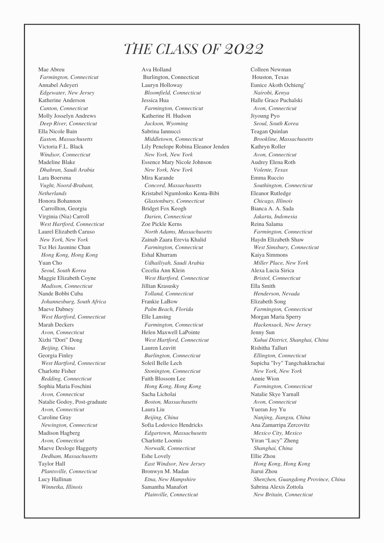### *THE CLASS OF 2022*

Mae Abreu *Farmington, Connecticut* Annabel Adeyeri *Edgewater, New Jersey* Katherine Anderson *Canton, Connecticut* Molly Josselyn Andrews *Deep River, Connecticut* Ella Nicole Bain *Easton, Massachusetts* Victoria F.L. Black *Windsor, Connecticut* Madeline Blake *Dhahran, Saudi Arabia* Lara Boersma *Vught, Noord-Brabant, Netherlands* Honora Bohannon Carrollton, Georgia Virginia (Nia) Carroll *West Hartford, Connecticut* Laurel Elizabeth Caruso *New York, New York* Tsz Hei Jasmine Chan *Hong Kong, Hong Kong* Yuan Cho *Seoul, South Korea* Maggie Elizabeth Coyne *Madison, Connecticut* Nande Bobbi Cuba *Johannesburg, South Africa* Maeve Dabney *West Hartford, Connecticut* Marah Deckers *Avon, Connecticut* Xizhi "Dori" Dong *Beijing, China* Georgia Finley *West Hartford, Connecticut* Charlotte Fisher *Redding, Connecticut* Sophia Maria Foschini *Avon, Connecticut* Natalie Godoy, Post-graduate *Avon, Connecticut* Caroline Gray *Newington, Connecticut* Madison Hagberg *Avon, Connecticut* Maeve Desloge Haggerty *Dedham, Massachusetts* Taylor Hall *Plantsville, Connecticut* Lucy Hallinan *Winnetka, Illinois*

Ava Holland Burlington, Connecticut Lauryn Holloway *Bloomfield, Connecticut* Jessica Hua *Farmington, Connecticut* Katherine H. Hudson *Jackson, Wyoming* Sabrina Iannucci *Middletown, Connecticut* Lily Penelope Robina Eleanor Jenden *New York, New York* Essence Mary Nicole Johnson *New York, New York* Mira Karande *Concord, Massachusetts* Kristabel Ngumlonko Kenta-Bibi *Glastonbury, Connecticut* Bridget Fox Keogh *Darien, Connecticut* Zoe Pickle Kerns *North Adams, Massachusetts* Zainab Zaara Erevia Khalid *Farmington, Connecticut* Eshal Khurram *Udhailiyah, Saudi Arabia* Cecelia Ann Klein *West Hartford, Connecticut* Jillian Krasusky *Tolland, Connecticut* Frankie LaBow *Palm Beach, Florida* Elle Lansing *Farmington, Connecticut* Helen Maxwell LaPointe *West Hartford, Connecticut* Lauren Leavitt *Burlington, Connecticut* Soleil Belle Lech *Stonington, Connecticut* Faith Blossom Lee *Hong Kong, Hong Kong* Sacha Licholai *Boston, Massachusetts* Laura Liu *Beijing, China* Sofia Lodovico Hendricks *Edgartown, Massachusetts* Charlotte Loomis *Norwalk, Connecticut* Eshe Lovely *East Windsor, New Jersey* Bronwyn M. Madan *Etna, New Hampshire* Samantha Manafort *Plainville, Connecticut*

Colleen Newman Houston, Texas Eunice Akoth Ochieng' *Nairobi, Kenya* Halle Grace Puchalski *Avon, Connecticut* Jiyoung Pyo *Seoul, South Korea* Teagan Quinlan *Brookline, Massachusetts* Kathryn Roller *Avon, Connecticut* Audrey Elena Roth *Volente, Texas* Emma Ruccio *Southington, Connecticut* Eleanor Rutledge *Chicago, Illinois* Bianca A. A. Sada *Jakarta, Indonesia* Reina Salama *Farmington, Connecticut* Haydn Elizabeth Shaw *West Simsbury, Connecticut* Kaiya Simmons *Miller Place, New York* Alexa Lucia Sirica *Bristol, Connecticut* Ella Smith *Henderson, Nevada* Elizabeth Song *Farmington, Connecticut* Morgan Maria Sperry *Hackensack, New Jersey* Jenny Sun *Xuhui District, Shanghai, China* Rishitha Talluri *Ellington, Connecticut* Supicha "Ivy" Tangchakkrachai *New York, New York* Annie Wion *Farmington, Connecticut* Natalie Skye Yarnall *Avon, Connecticut* Yueran Joy Yu *Nanjing, Jiangsu, China* Ana Zamarripa Zercovitz *Mexico City, Mexico* Yiran "Lucy" Zheng *Shanghai, China* Ellie Zhou *Hong Kong, Hong Kong* Jiarui Zhou *Shenzhen, Guangdong Province, China* Sabrina Alexis Zottola *New Britain, Connecticut*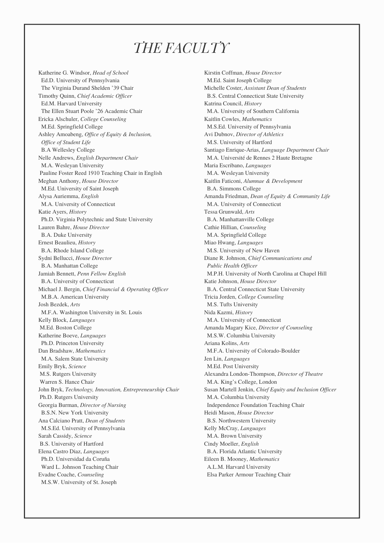### *THE FACULTY*

Katherine G. Windsor, *Head of School* Ed.D. University of Pennsylvania The Virginia Durand Shelden '39 Chair Timothy Quinn, *Chief Academic Of icer* Ed.M. Harvard University The Ellen Stuart Poole '26 Academic Chair Ericka Alschuler, *College Counseling* M.Ed. Springfield College Ashley Amoabeng, *Of ice of Equity & Inclusion, Of ice of Student Life* B.A Wellesley College Nelle Andrews, *English Department Chair* M.A. Wesleyan University Pauline Foster Reed 1910 Teaching Chair in English Meghan Anthony, *House Director* M.Ed. University of Saint Joseph Alysa Auriemma, *English* M.A. University of Connecticut Katie Ayers, *History* Ph.D. Virginia Polytechnic and State University Lauren Bahre, *House Director* B.A. Duke University Ernest Beaulieu, *History* B.A. Rhode Island College Sydni Bellucci, *House Director* B.A. Manhattan College Jamiah Bennett, *Penn Fellow English* B.A. University of Connecticut Michael J. Bergin, *Chief Financial & Operating Of icer* M.B.A. American University Josh Bezdek, *Arts* M.F.A. Washington University in St. Louis Kelly Block, *Languages* M.Ed. Boston College Katherine Boeve, *Languages* Ph.D. Princeton University Dan Bradshaw, *Mathematics* M.A. Salem State University Emily Bryk, *Science* M.S. Rutgers University Warren S. Hance Chai*r* John Bryk, *Technology, Innovation, Entrepreneurship Chair* Ph.D. Rutgers University Georgia Burman, *Director of Nursing* B.S.N. New York University Ana Calciano Pratt, *Dean of Students* M.S.Ed. University of Pennsylvania Sarah Cassidy, *Science* B.S. University of Hartford Elena Castro Diaz, *Languages* Ph.D. Universidad da Coruña Ward L. Johnson Teaching Chair Evadne Coache, *Counseling* M.S.W. University of St. Joseph

Kirstin Coffman, *House Director* M.Ed. Saint Joseph College Michelle Coster, *Assistant Dean of Students* B.S. Central Connecticut State University Katrina Council, *History* M.A. University of Southern California Kaitlin Cowles, *Mathematics* M.S.Ed. University of Pennsylvania Avi Dubnov, *Director of Athletics* M.S. University of Hartford Santiago Enrique-Arias, *Language Department Chair* M.A. Université de Rennes 2 Haute Bretagne Maria Escribano, *Languages* M.A. Wesleyan University Kaitlin Faticoni, *Alumnae & Development* B.A. Simmons College Amanda Friedman, *Dean of Equity & Community Life* M.A. University of Connecticut Tessa Grunwald, *Arts* B.A. Manhattanville College Cathie Hillian, *Counseling* M.A. Springfield College Miao Hwang, *Languages* M.S. University of New Haven Diane R. Johnson, *Chief Communications and Public Health Of icer* M.P.H. University of North Carolina at Chapel Hill Katie Johnson, *House Director* B.A. Central Connecticut State University Tricia Jorden, *College Counseling* M.S. Tufts University Nida Kazmi, *History* M.A. University of Connecticut Amanda Magary Kice, *Director of Counseling* M.S.W. Columbia University Ariana Kolins, *Arts* M.F.A. University of Colorado-Boulder Jen Lin, *Languages* M.Ed. Post University Alexandra London-Thompson, *Director of Theatre* M.A. King's College, London Susan Martell Jenkin, *Chief Equity and Inclusion Of icer* M.A. Columbia University Independence Foundation Teaching Chair Heidi Mason, *House Director* B.S. Northwestern University Kelly McCray, *Languages* M.A. Brown University Cindy Moeller, *English* B.A. Florida Atlantic University Eileen B. Mooney, *Mathematics* A.L.M. Harvard University Elsa Parker Armour Teaching Chair